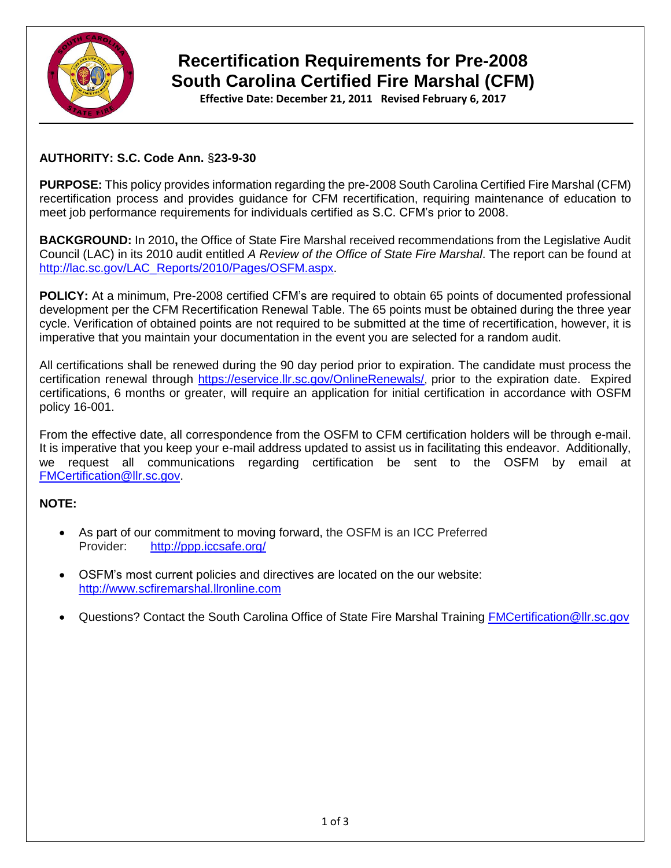

# **Recertification Requirements for Pre-2008 South Carolina Certified Fire Marshal (CFM)**

**Effective Date: December 21, 2011 Revised February 6, 2017**

### **AUTHORITY: S.C. Code Ann.** §**23-9-30**

**PURPOSE:** This policy provides information regarding the pre-2008 South Carolina Certified Fire Marshal (CFM) recertification process and provides guidance for CFM recertification, requiring maintenance of education to meet job performance requirements for individuals certified as S.C. CFM's prior to 2008.

**BACKGROUND:** In 2010**,** the Office of State Fire Marshal received recommendations from the Legislative Audit Council (LAC) in its 2010 audit entitled *A Review of the Office of State Fire Marshal*. The report can be found at [http://lac.sc.gov/LAC\\_Reports/2010/Pages/OSFM.aspx.](http://lac.sc.gov/LAC_Reports/2010/Pages/OSFM.aspx)

**POLICY:** At a minimum, Pre-2008 certified CFM's are required to obtain 65 points of documented professional development per the CFM Recertification Renewal Table. The 65 points must be obtained during the three year cycle. Verification of obtained points are not required to be submitted at the time of recertification, however, it is imperative that you maintain your documentation in the event you are selected for a random audit.

All certifications shall be renewed during the 90 day period prior to expiration. The candidate must process the certification renewal through<https://eservice.llr.sc.gov/OnlineRenewals/>, prior to the expiration date. Expired certifications, 6 months or greater, will require an application for initial certification in accordance with OSFM policy 16-001.

From the effective date, all correspondence from the OSFM to CFM certification holders will be through e-mail. It is imperative that you keep your e-mail address updated to assist us in facilitating this endeavor. Additionally, we request all communications regarding certification be sent to the OSFM by email at [FMCertification@llr.sc.gov.](mailto:FMCertification@llr.sc.gov)

#### **NOTE:**

- As part of our commitment to moving forward, the OSFM is an ICC Preferred Provider: <http://ppp.iccsafe.org/>
- OSFM's most current policies and directives are located on the our website: [http://www.scfiremarshal.llronline.com](http://www.scfiremarshal.llronline.com/)
- Questions? Contact the South Carolina Office of State Fire Marshal Training [FMCertification@llr.sc.gov](mailto:FMCertification@llr.sc.gov)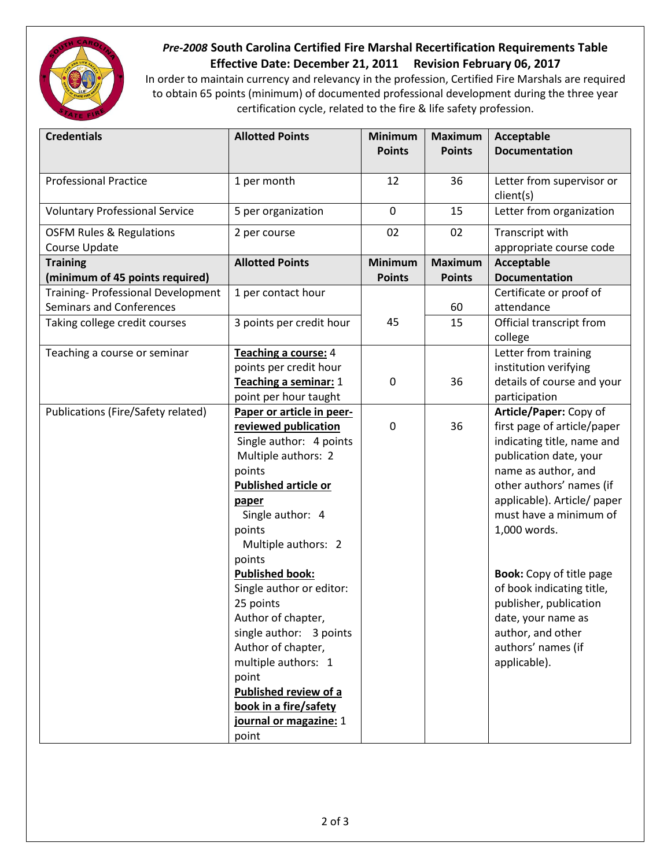

## *Pre-2008* **South Carolina Certified Fire Marshal Recertification Requirements Table Effective Date: December 21, 2011 Revision February 06, 2017**

In order to maintain currency and relevancy in the profession, Certified Fire Marshals are required to obtain 65 points (minimum) of documented professional development during the three year certification cycle, related to the fire & life safety profession.

| <b>Credentials</b>                                                    | <b>Allotted Points</b>         | <b>Minimum</b> | <b>Maximum</b> | Acceptable                                 |
|-----------------------------------------------------------------------|--------------------------------|----------------|----------------|--------------------------------------------|
|                                                                       |                                | <b>Points</b>  | <b>Points</b>  | <b>Documentation</b>                       |
| <b>Professional Practice</b>                                          | 1 per month                    | 12             | 36             | Letter from supervisor or<br>client(s)     |
| <b>Voluntary Professional Service</b>                                 | 5 per organization             | $\mathbf 0$    | 15             | Letter from organization                   |
| <b>OSFM Rules &amp; Regulations</b><br>Course Update                  | 2 per course                   | 02             | 02             | Transcript with<br>appropriate course code |
| <b>Training</b>                                                       | <b>Allotted Points</b>         | Minimum        | <b>Maximum</b> | Acceptable                                 |
| (minimum of 45 points required)                                       |                                | <b>Points</b>  | <b>Points</b>  | <b>Documentation</b>                       |
| Training- Professional Development<br><b>Seminars and Conferences</b> | 1 per contact hour             |                | 60             | Certificate or proof of<br>attendance      |
| Taking college credit courses                                         | 3 points per credit hour       | 45             | 15             | Official transcript from                   |
|                                                                       |                                |                |                | college                                    |
| Teaching a course or seminar                                          | Teaching a course: 4           |                |                | Letter from training                       |
|                                                                       | points per credit hour         |                |                | institution verifying                      |
|                                                                       | Teaching a seminar: 1          | $\pmb{0}$      | 36             | details of course and your                 |
|                                                                       | point per hour taught          |                |                | participation                              |
| Publications (Fire/Safety related)                                    | Paper or article in peer-      |                |                | Article/Paper: Copy of                     |
|                                                                       | reviewed publication           | $\pmb{0}$      | 36             | first page of article/paper                |
|                                                                       | Single author: 4 points        |                |                | indicating title, name and                 |
|                                                                       | Multiple authors: 2            |                |                | publication date, your                     |
|                                                                       | points                         |                |                | name as author, and                        |
|                                                                       | <b>Published article or</b>    |                |                | other authors' names (if                   |
|                                                                       | paper                          |                |                | applicable). Article/ paper                |
|                                                                       | Single author: 4               |                |                | must have a minimum of                     |
|                                                                       | points                         |                |                | 1,000 words.                               |
|                                                                       | Multiple authors: 2            |                |                |                                            |
|                                                                       | points                         |                |                |                                            |
|                                                                       | <b>Published book:</b>         |                |                | <b>Book:</b> Copy of title page            |
|                                                                       | Single author or editor:       |                |                | of book indicating title,                  |
|                                                                       | 25 points                      |                |                | publisher, publication                     |
|                                                                       | Author of chapter,             |                |                | date, your name as                         |
|                                                                       | single author: 3 points        |                |                | author, and other                          |
|                                                                       | Author of chapter,             |                |                | authors' names (if                         |
|                                                                       | multiple authors: 1            |                |                | applicable).                               |
|                                                                       | point<br>Published review of a |                |                |                                            |
|                                                                       | book in a fire/safety          |                |                |                                            |
|                                                                       | journal or magazine: 1         |                |                |                                            |
|                                                                       | point                          |                |                |                                            |
|                                                                       |                                |                |                |                                            |